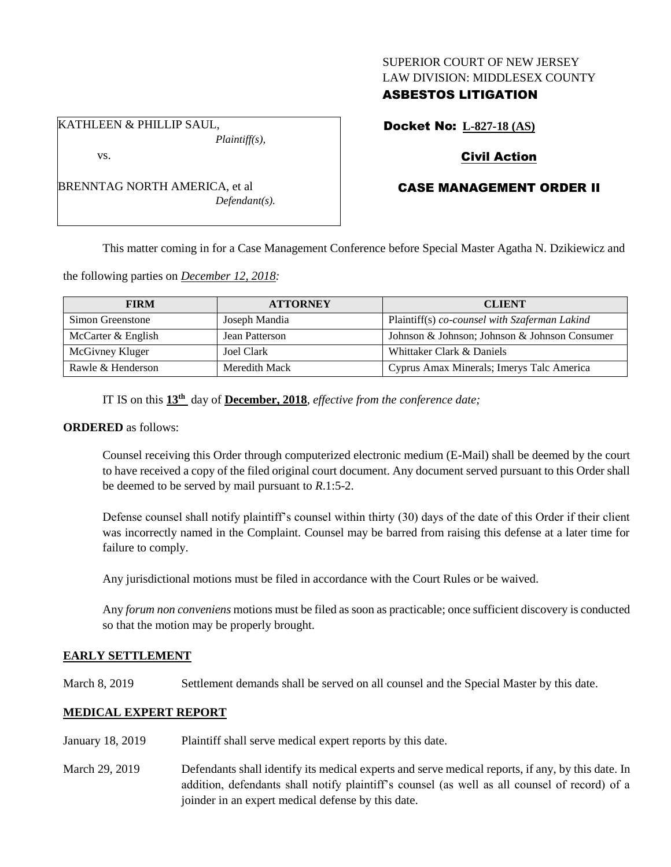### SUPERIOR COURT OF NEW JERSEY LAW DIVISION: MIDDLESEX COUNTY

## ASBESTOS LITIGATION

KATHLEEN & PHILLIP SAUL, *Plaintiff(s),*

vs.

BRENNTAG NORTH AMERICA, et al *Defendant(s).* Docket No: **L-827-18 (AS)**

# Civil Action

# CASE MANAGEMENT ORDER II

This matter coming in for a Case Management Conference before Special Master Agatha N. Dzikiewicz and

the following parties on *December 12, 2018:*

| <b>FIRM</b>        | <b>ATTORNEY</b> | <b>CLIENT</b>                                 |
|--------------------|-----------------|-----------------------------------------------|
| Simon Greenstone   | Joseph Mandia   | Plaintiff(s) co-counsel with Szaferman Lakind |
| McCarter & English | Jean Patterson  | Johnson & Johnson; Johnson & Johnson Consumer |
| McGivney Kluger    | Joel Clark      | Whittaker Clark & Daniels                     |
| Rawle & Henderson  | Meredith Mack   | Cyprus Amax Minerals; Imerys Talc America     |

IT IS on this **13th** day of **December, 2018**, *effective from the conference date;*

### **ORDERED** as follows:

Counsel receiving this Order through computerized electronic medium (E-Mail) shall be deemed by the court to have received a copy of the filed original court document. Any document served pursuant to this Order shall be deemed to be served by mail pursuant to *R*.1:5-2.

Defense counsel shall notify plaintiff's counsel within thirty (30) days of the date of this Order if their client was incorrectly named in the Complaint. Counsel may be barred from raising this defense at a later time for failure to comply.

Any jurisdictional motions must be filed in accordance with the Court Rules or be waived.

Any *forum non conveniens* motions must be filed as soon as practicable; once sufficient discovery is conducted so that the motion may be properly brought.

## **EARLY SETTLEMENT**

March 8, 2019 Settlement demands shall be served on all counsel and the Special Master by this date.

## **MEDICAL EXPERT REPORT**

- January 18, 2019 Plaintiff shall serve medical expert reports by this date.
- March 29, 2019 Defendants shall identify its medical experts and serve medical reports, if any, by this date. In addition, defendants shall notify plaintiff's counsel (as well as all counsel of record) of a joinder in an expert medical defense by this date.